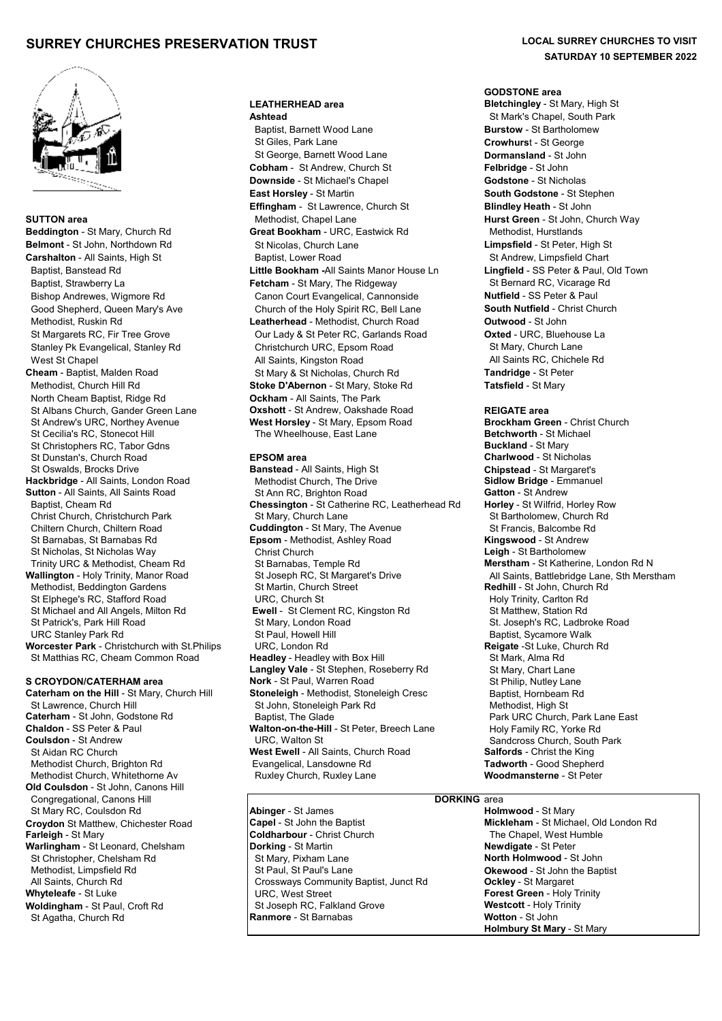# **SURREY CHURCHES PRESERVATION TRUST LOCAL SURREY CHURCHES TO VISIT**



 North Cheam Baptist, Ridge Rd **Ockham** - All Saints, The Park St Christophers RC, Tabor Gdns<br>St Dunstan's. Church Road<br>**Buckland - St Mary Buckland** - Berso**m area**  St Dunstan's, Church Road **EPSOM area Charlwood** - St Nicholas **Hackbridge - All Saints, London Road** Trinity URC & Methodist, Cheam Rd Methodist, Beddington Gardens St Matthias RC, Cheam Common Road

St Lawrence, Church Hill St John, Stoneleigh Park Rd Caterham - St John, Stoneleigh Park Rd Caterham - St John, Godstone Rd Methodist Church, Whitethorne Av **Old Coulsdon** - St John, Canons Hill Congregational, Canons Hill **Congregational, Canons Hill DORKING** area<br>
St Marv RC. Coulsdon Rd **DORKING** area **DORKING** area **Holmwood** - St Marv St Mary RC, Coulsdon Rd **Abinger** - St James **Abinger - St James** Hol**mwood** - St Mary<br> **Capel** - St John the Baptist **Abinger - St John the Holm St Mickleham** - St Michael, Old London Rd ( **Croydon** St Matthew, Chichester Road **Capel - St John the Baptist Capel - St John the Baptist Mickleham - St Michael, Old London Representing Cold London Representing Cold London Representing Cold London Representing Cold Warlingham** - St Leonard, Chelsham **Dorking** - St Martin **Newdigate** - St Peter St Christopher, Chelsham Rd **St Mary, Pixham Lane Morth Holmwood** - St John Methodist. Limpsfield Rd **St Mary, Pixham Lane** Methodist. Limpsfield Rd St John the Bap Methodist, Limpsfield Rd **St Paul, St Paul, St Paul's Lane Okewood - St John the Baptist**<br>All Saints, Church Rd **Captist Connuss** Community Baptist, Junct Rd **Ockley - St Margaret** All Saints, Church Rd **Crossways Community Baptist, Junct Rd** Crossways Community Baptist, Junct Rd **Ockley Crossways Community Baptist, Junct Rd Woldingham** - St Paul, Croft Rd St Joseph RC, Falkland Grove **Westcott** - Holy Trinity<br>St Agatha Church Rd **Ranmore** - St Barnabas **Wolfon** - St John St Agatha, Church Rd

# **LEATHERHEAD area Bletchingley** - St Mary, High St

**Baptist, Barnett Wood Lane <b>Burstow** - St Bartholomew<br>
St Giles, Park Lane **Burstow** - St George **Crowhurst** - St George St George, Barnett Wood Lane **Dormansland** - St John **Cobham** - St Andrew, Church St **Felbridge** - St John **Downside** - St Michael's Chapel **Godstone** - St Nicholas **East Horsley** - St Martin **South Godstone** - St Stephen **Effingham** - St Lawrence, Church St **Blindley Heath** - St John **SUTTON area** <br>**Beddington** - St John, Church Rd **Beddington** - St John, Church Way<br>**Beddington** - St Mary, Church Rd **Great Bookham** - URC, Eastwick Rd Methodist, Hurstlands **Great Bookham** - URC, Eastwick Rd Methodist, Hurstlands **Belmont** - St John, Northdown Rd St Nicolas, Church Lane **Limpsfield** - St Peter, High St Carshalton - All Saints, High St **Baptist, Lower Road** St Andrew, Limpsfield Chart Baptist, Banstead Rd **Little Bookham -**All Saints Manor House Ln **Lingfield** - SS Peter & Paul, Old Town Baptist, Strawberry La **Fetcham** - St Mary, The Ridgeway St Bernard RC, Vicarage Rd **Fetcham** - St Mary, The Ridgeway Bishop Andrewes, Wigmore Rd Canon Court Evangelical, Cannonside **Nutfield** - SS Peter & Paul Good Shepherd, Queen Mary's Ave **Church of the Holy Spirit RC, Bell Lane South Nutfield** - Christ Church Methodist, Ruskin Rd **Leatherhead** - Methodist, Church Road **Outwood** - St John St Margarets RC, Fir Tree Grove Our Lady & St Peter RC, Garlands Road **Oxted** - URC, Bluehouse La Stanley Pk Evangelical, Stanley Rd Christchurch URC, Epsom Road St Mary, Church Lane West St Chapel **All Saints, Kingston Road** All Saints RC, Chichele Rd **All Saints RC**, Chichele Rd **Cheam** - Baptist, Malden Road St Mary & St Nicholas, Church Rd **Tandridge** - St Peter Methodist, Church Hill Rd **Stoke D'Abernon** - St Mary, Stoke Rd **Tatsfield** - St Mary St Albans Church, Gander Green Lane **Oxshott** - St Andrew, Oakshade Road **REIGATE area** St Andrew's URC, Northey Avenue **West Horsley** - St Mary, Epsom Road **Brockham Green** - Chris<br>St Cecilia's RC. Stonecot Hill **The Wheelhouse.** East Lane **Betchworth** - St Michael The Wheelhouse, East Lane **Betchworth** - St Michael **Betchworth** - St Michael **Buckland** - St Mary

**Banstead** - All Saints, High St **Chipstead** - St Margaret's **Chipstead** - St Margaret's **Chipstead** - Emmanuel **Sutton** - All Saints, All Saints Road St Ann RC, Brighton Road **Gatton** - St Andrew **Gatton** - St Andrew Chessington - St Catherine RC, Leatherhead Rd Horley - St Wilfrid, Horley Row **Chessington - St Catherine RC, Leatherhead Rd** Christ Church, Christchurch Park St Mary, Church Lane St Bartholomew, Church Rd Chiltern Church, Chiltern Road **Cuddington** - St Mary, The Avenue St Francis, Balcombe Rd St Barnabas, St Barnabas Rd **Epsom** - Methodist, Ashley Road **Kingswood** - St Andrew St Nicholas, St Nicholas Way Christ Church **Leigh** - St Bartholomew **Wallington** - Holy Trinity, Manor Road St Joseph RC, St Margaret's Drive All Saints, Battlebridge Lane, Sth Merstham<br>Methodist, Beddington Gardens St Martin, Church Street All Saints, Bedhill - St John, Church Rd St Elphege's RC, Stafford Road **URC, Church St** URC, Kingston Rd Holy Trinity, Carlton Rd<br>St Michael and All Angels, Milton Rd **Ewell** - St Clement RC, Kingston Rd St Matthew, Station Rd **Ewell** - St Clement RC, Kingston Rd **Ewell** - St Matthew, Station Rd St Patrick's, Park Hill Road **St Mary, London Road** St. Joseph's RC, Ladbroke Road St. Joseph's RC, Ladbroke Road<br>St Paul, Howell Hill Stephen St Paul, Howell Hill Stephen St. Strange Walk St Paul, Howell Hill **Standard Standard St Paul, Howell Hill Baptist, Sycamore Walk Church Rd St Paul**<br>**Reigate** -St Luke, Church Rd **Worcester Park** - Christchurch with St.Philips URC, London Rd **Reigate** -St Luke, Church Rd **Langley Vale** - St Stephen, Roseberry Rd St Mary, Chart Lane<br>**Nork** - St Paul, Warren Road St Philip. Nutley Lane **S CROYDON/CATERHAM area Nork** - St Paul, Warren Road **Caterham on the Hill** - St Mary, Church Hill **Stoneleigh - Methodist**, Stoneleigh Cresc **Caterham on the Hill** - St Mary, Church Hill **Stoneleigh** - Methodist, Stoneleigh Cresc Baptist, Hornbeam Rd<br>St John, Stoneleigh Park Rd Baptist, High St Methodist, High St **Caterham** - St John, Godstone Rd **Baptist, The Glade** Park URC Church, Park Lane East Chaldon - St Peter & Paul<br> **Chaldon** - SS Peter & Paul Park URC Church, Park Lane Paul Park URC Park URC Prince Edge Chaldon - SS Peter **Chaldon** - SS Peter & Paul **Walton-on-the-Hill** - St Peter, Breech Lane Holy Family RC, Yorke Rd<br>
LIRC, Walton St Andrew South South Research South **Coulsdon** - St Andrew **Coulsdon** - St Andrew URC, Walton St Sandoross Church, South Park St Aidan RC Church, South Park<br>St Aidan RC Church **St St St St Aidan St St Aidan Read St Aidan St Salfords** - Christ the King **West Ewell** - All Saints, Church Road **Salfords** - Christ the King<br>
Evangelical, Lansdowne Rd **Sammer Communist Communist Communist Communist Communist Communist Communist Communist Communist Communist Communist Communist** Methodist Church, Brighton Rd Evangelical, Lansdowne Rd **Tadworth** - Good Shepherd

> **Coldharbour - Christ Church** URC, West Street **Forest Green** - Holy Trinity

# **SATURDAY 10 SEPTEMBER 2022**

## **GODSTONE area**

**Ashtead Ashtead Ashtead St Mark's Chapel, South Park Crowhurst - St George** 

**Holmbury St Mary** - St Mary